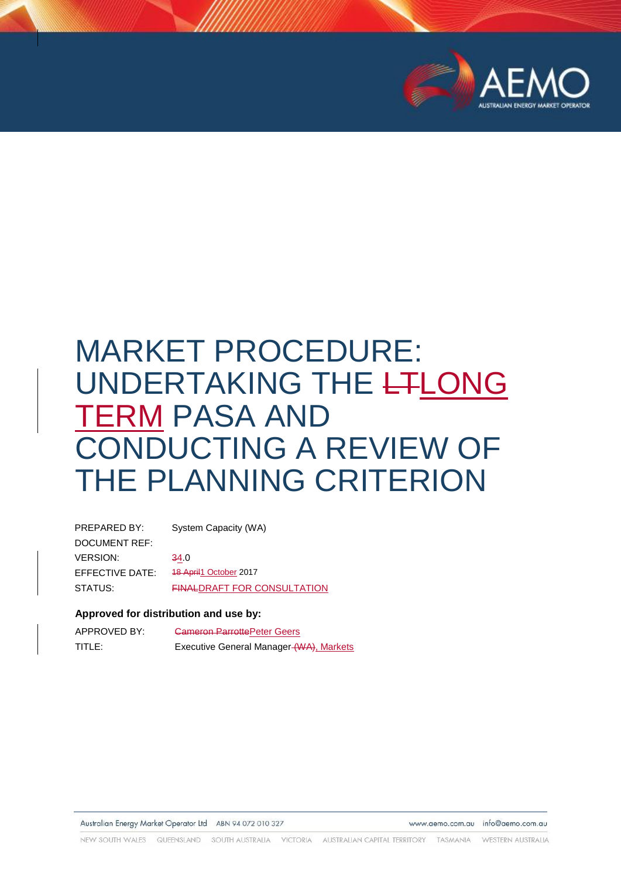

# MARKET PROCEDURE: UNDERTAKING THE LTLONG TERM PASA AND CONDUCTING A REVIEW OF THE PLANNING CRITERION

| PREPARED BY:    | System Capacity (WA)               |
|-----------------|------------------------------------|
| DOCUMENT REF:   |                                    |
| <b>VERSION:</b> | 34.0                               |
| EFFECTIVE DATE: | <b>18 April 1 October 2017</b>     |
| STATUS:         | <b>FINALDRAFT FOR CONSULTATION</b> |

#### **Approved for distribution and use by:**

| APPROVED BY: | <b>Cameron ParrottePeter Geers</b>      |
|--------------|-----------------------------------------|
| TITLE:       | Executive General Manager (WA), Markets |

Australian Energy Market Operator Ltd ABN 94 072 010 327

www.aemo.com.au info@aemo.com.au

NEW SOUTH WALES QUEENSLAND SOUTH AUSTRALIA VICTORIA AUSTRALIAN CAPITAL TERRITORY TASMANIA WESTERN ALISTRALIA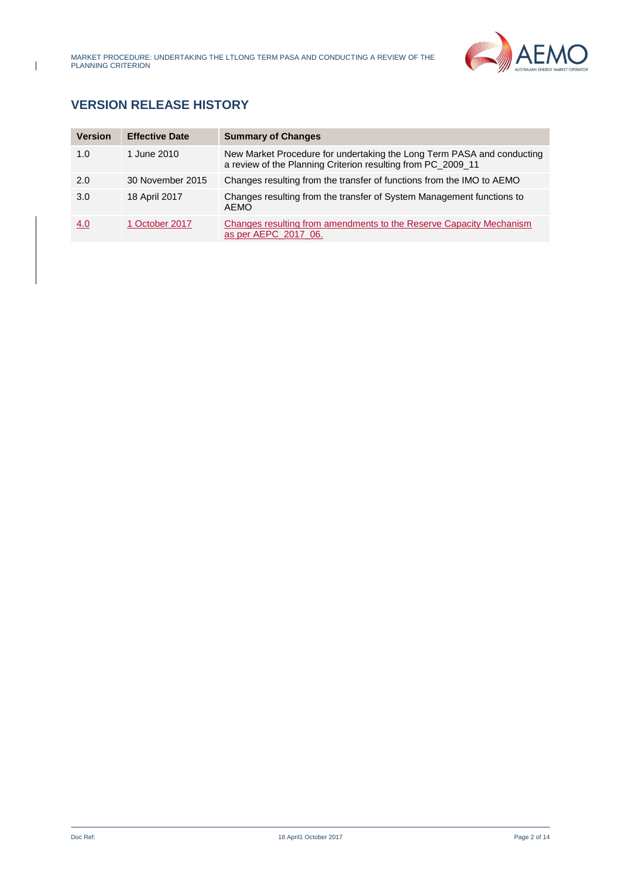

# **VERSION RELEASE HISTORY**

| <b>Version</b> | <b>Effective Date</b> | <b>Summary of Changes</b>                                                                                                              |
|----------------|-----------------------|----------------------------------------------------------------------------------------------------------------------------------------|
| 1.0            | 1 June 2010           | New Market Procedure for undertaking the Long Term PASA and conducting<br>a review of the Planning Criterion resulting from PC_2009_11 |
| 2.0            | 30 November 2015      | Changes resulting from the transfer of functions from the IMO to AEMO                                                                  |
| 3.0            | 18 April 2017         | Changes resulting from the transfer of System Management functions to<br><b>AEMO</b>                                                   |
| 4.0            | 1 October 2017        | Changes resulting from amendments to the Reserve Capacity Mechanism<br>as per AEPC 2017 06.                                            |

 $\overline{1}$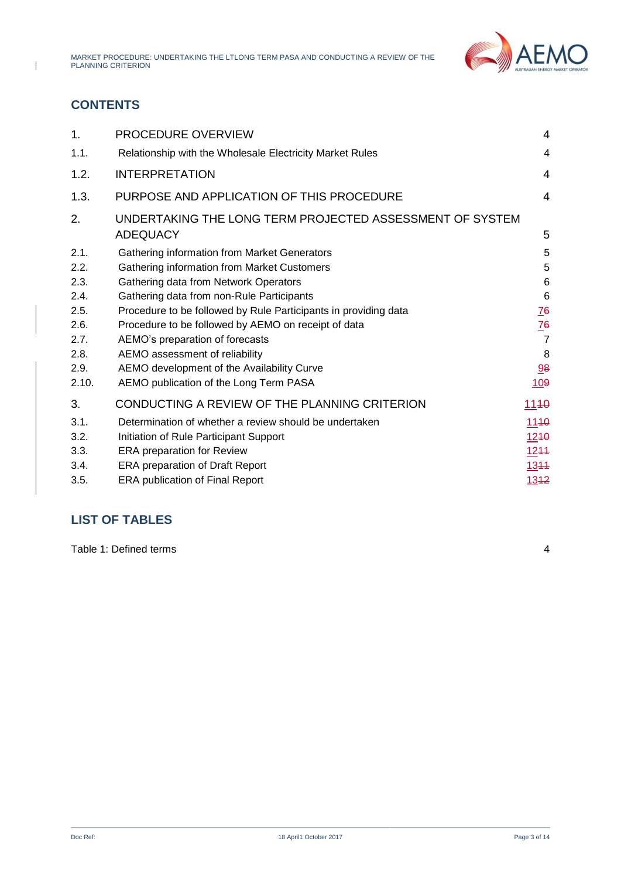

# **CONTENTS**

 $\overline{1}$ 

| 1.    | PROCEDURE OVERVIEW                                                          | 4               |
|-------|-----------------------------------------------------------------------------|-----------------|
| 1.1.  | Relationship with the Wholesale Electricity Market Rules                    | 4               |
| 1.2.  | <b>INTERPRETATION</b>                                                       | 4               |
| 1.3.  | PURPOSE AND APPLICATION OF THIS PROCEDURE                                   | $\overline{4}$  |
| 2.    | UNDERTAKING THE LONG TERM PROJECTED ASSESSMENT OF SYSTEM<br><b>ADEQUACY</b> | 5               |
| 2.1.  | Gathering information from Market Generators                                | 5               |
| 2.2.  | Gathering information from Market Customers                                 | 5               |
| 2.3.  | Gathering data from Network Operators                                       | 6               |
| 2.4.  | Gathering data from non-Rule Participants                                   | $6\phantom{1}6$ |
| 2.5.  | Procedure to be followed by Rule Participants in providing data             | $\overline{16}$ |
| 2.6.  | Procedure to be followed by AEMO on receipt of data                         | $\frac{76}{5}$  |
| 2.7.  | AEMO's preparation of forecasts                                             | $\overline{7}$  |
| 2.8.  | AEMO assessment of reliability                                              | 8               |
| 2.9.  | AEMO development of the Availability Curve                                  | 98              |
| 2.10. | AEMO publication of the Long Term PASA                                      | 109             |
| 3.    | CONDUCTING A REVIEW OF THE PLANNING CRITERION                               | 1140            |
| 3.1.  | Determination of whether a review should be undertaken                      | 1140            |
| 3.2.  | Initiation of Rule Participant Support                                      | 1240            |
| 3.3.  | <b>ERA</b> preparation for Review                                           | 1244            |
| 3.4.  | <b>ERA preparation of Draft Report</b>                                      | 1344            |
| 3.5.  | <b>ERA publication of Final Report</b>                                      | 1342            |

## **LIST OF TABLES**

[Table 1: Defined terms](#page-3-4) 4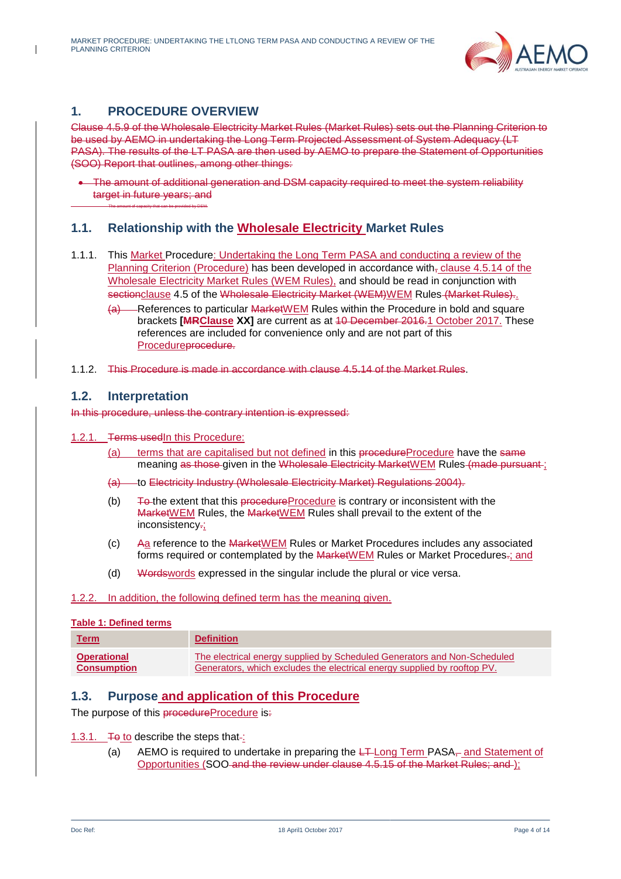

# <span id="page-3-0"></span>**1. PROCEDURE OVERVIEW**

The amount of capacity that can be provided by DSM.

Clause 4.5.9 of the Wholesale Electricity Market Rules (Market Rules) sets out the Planning Criterion to be used by AEMO in undertaking the Long Term Projected Assessment of System Adequacy (LT PASA). The results of the LT PASA are then used by AEMO to prepare the Statement of Opportunities (SOO) Report that outlines, among other things:

 The amount of additional generation and DSM capacity required to meet the system reliability target in future years; and

### <span id="page-3-1"></span>**1.1. Relationship with the Wholesale Electricity Market Rules**

- 1.1.1. This Market Procedure: Undertaking the Long Term PASA and conducting a review of the Planning Criterion (Procedure) has been developed in accordance with, clause 4.5.14 of the Wholesale Electricity Market Rules (WEM Rules), and should be read in conjunction with sectionclause 4.5 of the Wholesale Electricity Market (WEM)WEM Rules (Market Rules).
	- (a) References to particular MarketWEM Rules within the Procedure in bold and square brackets **[MRClause XX]** are current as at 10 December 2016.1 October 2017. These references are included for convenience only and are not part of this Procedureprocedure.
- 1.1.2. This Procedure is made in accordance with clause 4.5.14 of the Market Rules.

#### <span id="page-3-2"></span>**1.2. Interpretation**

In this procedure, unless the contrary intention is expressed:

- 1.2.1. **Terms usedIn this Procedure:** 
	- (a) terms that are capitalised but not defined in this procedureProcedure have the same meaning as those given in the Wholesale Electricity MarketWEM Rules (made pursuant ;
	- (a) to Electricity Industry (Wholesale Electricity Market) Regulations 2004).
	- (b)  $\overline{+}$  To the extent that this procedure Procedure is contrary or inconsistent with the MarketWEM Rules, the MarketWEM Rules shall prevail to the extent of the inconsistency.;
	- (c) Aa reference to the MarketWEM Rules or Market Procedures includes any associated forms required or contemplated by the MarketWEM Rules or Market Procedures.; and
	- (d) Wordswords expressed in the singular include the plural or vice versa.

#### 1.2.2. In addition, the following defined term has the meaning given.

#### <span id="page-3-4"></span>**Table 1: Defined terms**

| <b>Term</b>        | <b>Definition</b>                                                        |
|--------------------|--------------------------------------------------------------------------|
| <b>Operational</b> | The electrical energy supplied by Scheduled Generators and Non-Scheduled |
| <b>Consumption</b> | Generators, which excludes the electrical energy supplied by rooftop PV. |

#### <span id="page-3-3"></span>**1.3. Purpose and application of this Procedure**

The purpose of this procedureProcedure is:

#### 1.3.1. To to describe the steps that-:

(a) AEMO is required to undertake in preparing the  $L +$ Long Term PASA<sub> $<sub>T</sub>$ </sub> and Statement of</sub> Opportunities (SOO and the review under clause 4.5.15 of the Market Rules; and );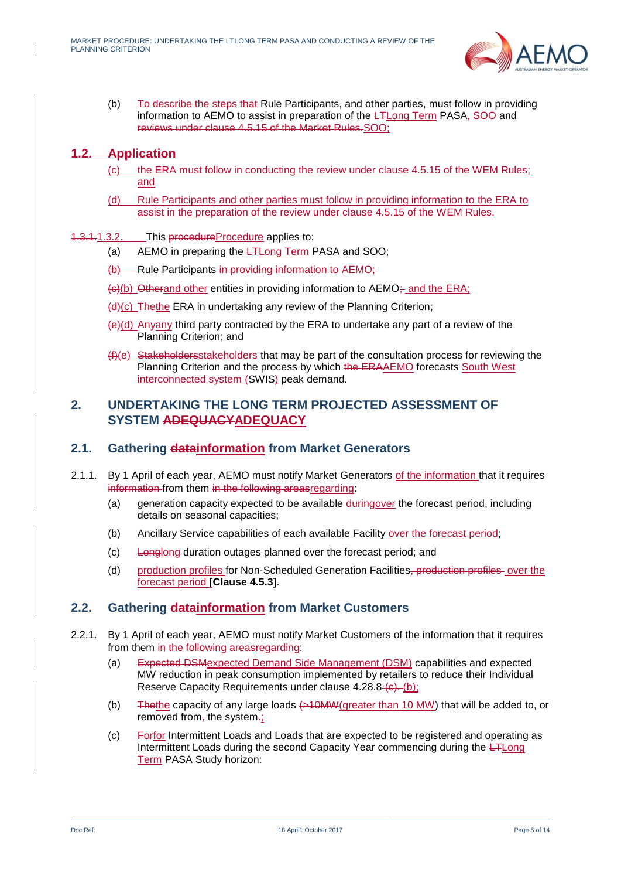

(b) To describe the steps that Rule Participants, and other parties, must follow in providing information to AEMO to assist in preparation of the **LTLong Term PASA**, SOO and reviews under clause 4.5.15 of the Market Rules.SOO;

#### **1.2. Application**

- (c) the ERA must follow in conducting the review under clause 4.5.15 of the WEM Rules; and
- (d) Rule Participants and other parties must follow in providing information to the ERA to assist in the preparation of the review under clause 4.5.15 of the WEM Rules.
- 1.3.1.1.3.2. This procedureProcedure applies to:
	- (a) AEMO in preparing the LTLong Term PASA and SOO;
	- (b) Rule Participants in providing information to AEMO;
	- $\left\langle \Theta \right\rangle$ (b) Otherand other entities in providing information to AEMO; and the ERA;
	- (d)(c) Thethe ERA in undertaking any review of the Planning Criterion;
	- $(e)(d)$  Anyany third party contracted by the ERA to undertake any part of a review of the Planning Criterion; and
	- (f)(e) Stakeholdersstakeholders that may be part of the consultation process for reviewing the Planning Criterion and the process by which the ERAAEMO forecasts South West interconnected system (SWIS) peak demand.

## <span id="page-4-0"></span>**2. UNDERTAKING THE LONG TERM PROJECTED ASSESSMENT OF SYSTEM ADEQUACYADEQUACY**

#### <span id="page-4-1"></span>**2.1. Gathering datainformation from Market Generators**

- 2.1.1. By 1 April of each year, AEMO must notify Market Generators of the information that it requires information from them in the following areasregarding:
	- (a) generation capacity expected to be available duringover the forecast period, including details on seasonal capacities;
	- (b) Ancillary Service capabilities of each available Facility over the forecast period;
	- (c) Longlong duration outages planned over the forecast period; and
	- (d) production profiles for Non-Scheduled Generation Facilities, production profiles over the forecast period **[Clause 4.5.3]**.

#### <span id="page-4-2"></span>**2.2. Gathering datainformation from Market Customers**

- 2.2.1. By 1 April of each year, AEMO must notify Market Customers of the information that it requires from them in the following areasregarding:
	- (a) Expected DSMexpected Demand Side Management (DSM) capabilities and expected MW reduction in peak consumption implemented by retailers to reduce their Individual Reserve Capacity Requirements under clause  $4.28.8 - (b)$ ;
	- (b) The the capacity of any large loads  $\leftarrow$  10MW(greater than 10 MW) that will be added to, or removed from-the system-:
	- (c) Forfor Intermittent Loads and Loads that are expected to be registered and operating as Intermittent Loads during the second Capacity Year commencing during the L<sub>TLong</sub> Term PASA Study horizon: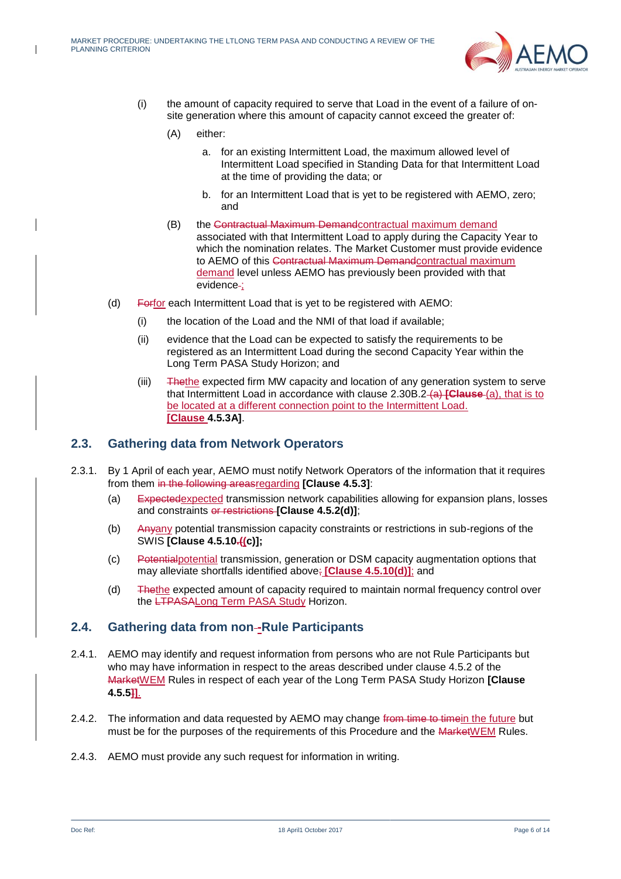

- (i) the amount of capacity required to serve that Load in the event of a failure of onsite generation where this amount of capacity cannot exceed the greater of:
	- (A) either:
		- a. for an existing Intermittent Load, the maximum allowed level of Intermittent Load specified in Standing Data for that Intermittent Load at the time of providing the data; or
		- b. for an Intermittent Load that is yet to be registered with AEMO, zero; and
	- (B) the Contractual Maximum Demandcontractual maximum demand associated with that Intermittent Load to apply during the Capacity Year to which the nomination relates. The Market Customer must provide evidence to AEMO of this Contractual Maximum Demandcontractual maximum demand level unless AEMO has previously been provided with that evidence-;
- (d) Forfor each Intermittent Load that is yet to be registered with AEMO:
	- (i) the location of the Load and the NMI of that load if available;
	- (ii) evidence that the Load can be expected to satisfy the requirements to be registered as an Intermittent Load during the second Capacity Year within the Long Term PASA Study Horizon; and
	- (iii) Thethe expected firm MW capacity and location of any generation system to serve that Intermittent Load in accordance with clause 2.30B.2 (a) **[Clause** (a), that is to be located at a different connection point to the Intermittent Load. **[Clause 4.5.3A]**.

#### <span id="page-5-0"></span>**2.3. Gathering data from Network Operators**

- 2.3.1. By 1 April of each year, AEMO must notify Network Operators of the information that it requires from them in the following areasregarding **[Clause 4.5.3]**:
	- (a) Expectedexpected transmission network capabilities allowing for expansion plans, losses and constraints or restrictions **[Clause 4.5.2(d)]**;
	- (b) Anyany potential transmission capacity constraints or restrictions in sub-regions of the SWIS **[Clause 4.5.10.((c)];**
	- (c) Potentialpotential transmission, generation or DSM capacity augmentation options that may alleviate shortfalls identified above; **[Clause 4.5.10(d)]**; and
	- (d) Thethe expected amount of capacity required to maintain normal frequency control over the LTPASALong Term PASA Study Horizon.

#### <span id="page-5-1"></span>**2.4. Gathering data from non -Rule Participants**

- 2.4.1. AEMO may identify and request information from persons who are not Rule Participants but who may have information in respect to the areas described under clause 4.5.2 of the MarketWEM Rules in respect of each year of the Long Term PASA Study Horizon **[Clause 4.5.5]]**.
- 2.4.2. The information and data requested by AEMO may change from time to time in the future but must be for the purposes of the requirements of this Procedure and the MarketWEM Rules.
- 2.4.3. AEMO must provide any such request for information in writing.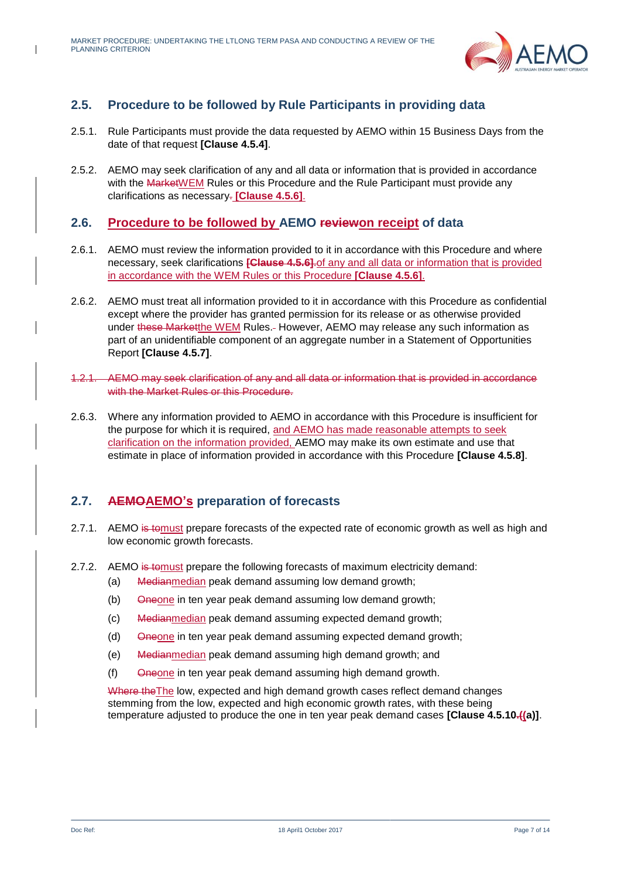

# <span id="page-6-0"></span>**2.5. Procedure to be followed by Rule Participants in providing data**

- 2.5.1. Rule Participants must provide the data requested by AEMO within 15 Business Days from the date of that request **[Clause 4.5.4]**.
- 2.5.2. AEMO may seek clarification of any and all data or information that is provided in accordance with the MarketWEM Rules or this Procedure and the Rule Participant must provide any clarifications as necessary. **[Clause 4.5.6]**.

## <span id="page-6-1"></span>**2.6. Procedure to be followed by AEMO reviewon receipt of data**

- 2.6.1. AEMO must review the information provided to it in accordance with this Procedure and where necessary, seek clarifications **[Clause 4.5.6]**.of any and all data or information that is provided in accordance with the WEM Rules or this Procedure **[Clause 4.5.6]**.
- 2.6.2. AEMO must treat all information provided to it in accordance with this Procedure as confidential except where the provider has granted permission for its release or as otherwise provided under these Marketthe WEM Rules. However, AEMO may release any such information as part of an unidentifiable component of an aggregate number in a Statement of Opportunities Report **[Clause 4.5.7]**.
- 1.2.1. AEMO may seek clarification of any and all data or information that is provided in accordance with the Market Rules or this Procedure.
- 2.6.3. Where any information provided to AEMO in accordance with this Procedure is insufficient for the purpose for which it is required, and AEMO has made reasonable attempts to seek clarification on the information provided, AEMO may make its own estimate and use that estimate in place of information provided in accordance with this Procedure **[Clause 4.5.8]**.

## <span id="page-6-2"></span>**2.7. AEMOAEMO's preparation of forecasts**

- 2.7.1. AEMO is to must prepare forecasts of the expected rate of economic growth as well as high and low economic growth forecasts.
- <span id="page-6-3"></span>2.7.2. AEMO is to must prepare the following forecasts of maximum electricity demand:
	- (a) Medianmedian peak demand assuming low demand growth;
	- (b) Oneone in ten year peak demand assuming low demand growth;
	- (c) Medianmedian peak demand assuming expected demand growth;
	- (d) Oneone in ten year peak demand assuming expected demand growth;
	- (e) Medianmedian peak demand assuming high demand growth; and
	- $(f)$  Oneone in ten year peak demand assuming high demand growth.

Where the The low, expected and high demand growth cases reflect demand changes stemming from the low, expected and high economic growth rates, with these being temperature adjusted to produce the one in ten year peak demand cases **[Clause 4.5.10.((a)]**.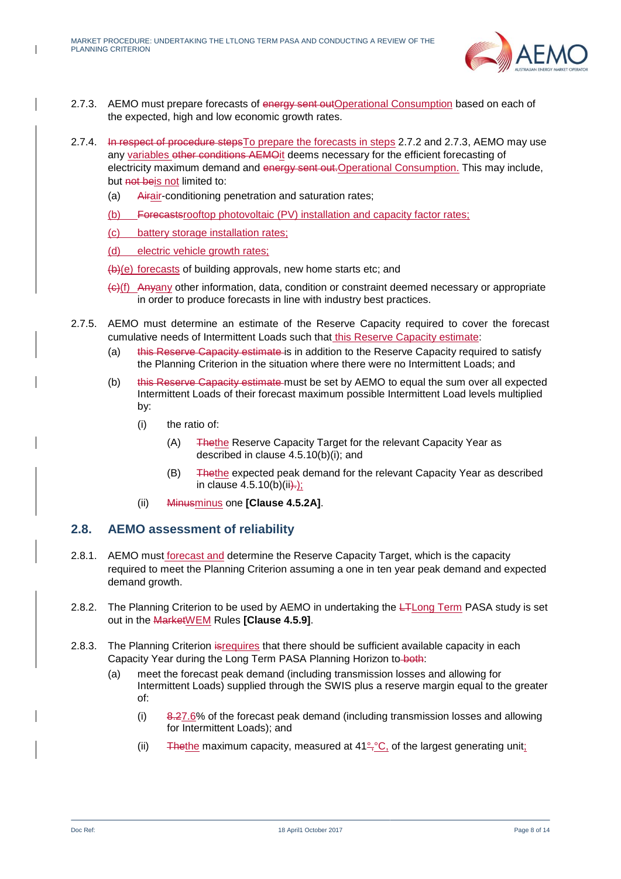

- <span id="page-7-1"></span>2.7.3. AEMO must prepare forecasts of energy sent outOperational Consumption based on each of the expected, high and low economic growth rates.
- 2.7.4. In respect of procedure steps To prepare the forecasts in steps [2.7.2](#page-6-3) and [2.7.3,](#page-7-1) AEMO may use any variables other conditions AEMO it deems necessary for the efficient forecasting of electricity maximum demand and energy sent out. Operational Consumption. This may include, but not beis not limited to:
	- (a) Airair-conditioning penetration and saturation rates;
	- (b) Forecastsrooftop photovoltaic (PV) installation and capacity factor rates;
	- (c) battery storage installation rates;
	- (d) electric vehicle growth rates;

(b)(e) forecasts of building approvals, new home starts etc; and

- (c)(f) Anyany other information, data, condition or constraint deemed necessary or appropriate in order to produce forecasts in line with industry best practices.
- 2.7.5. AEMO must determine an estimate of the Reserve Capacity required to cover the forecast cumulative needs of Intermittent Loads such that this Reserve Capacity estimate:
	- (a) this Reserve Capacity estimate is in addition to the Reserve Capacity required to satisfy the Planning Criterion in the situation where there were no Intermittent Loads; and
	- (b) this Reserve Capacity estimate must be set by AEMO to equal the sum over all expected Intermittent Loads of their forecast maximum possible Intermittent Load levels multiplied by:
		- (i) the ratio of:
			- (A) Thethe Reserve Capacity Target for the relevant Capacity Year as described in clause 4.5.10(b)(i); and
			- (B) Thethe expected peak demand for the relevant Capacity Year as described in clause  $4.5.10(b)(ii)$ .
		- (ii) Minusminus one **[Clause 4.5.2A]**.

#### <span id="page-7-0"></span>**2.8. AEMO assessment of reliability**

- 2.8.1. AEMO must forecast and determine the Reserve Capacity Target, which is the capacity required to meet the Planning Criterion assuming a one in ten year peak demand and expected demand growth.
- 2.8.2. The Planning Criterion to be used by AEMO in undertaking the LTLong Term PASA study is set out in the MarketWEM Rules **[Clause 4.5.9]**.
- 2.8.3. The Planning Criterion isrequires that there should be sufficient available capacity in each Capacity Year during the Long Term PASA Planning Horizon to both:
	- (a) meet the forecast peak demand (including transmission losses and allowing for Intermittent Loads) supplied through the SWIS plus a reserve margin equal to the greater of:
		- (i) 8.27.6% of the forecast peak demand (including transmission losses and allowing for Intermittent Loads); and
		- (ii) The the maximum capacity, measured at  $41^{\circ}$ ,  $\circ$ C, of the largest generating unit;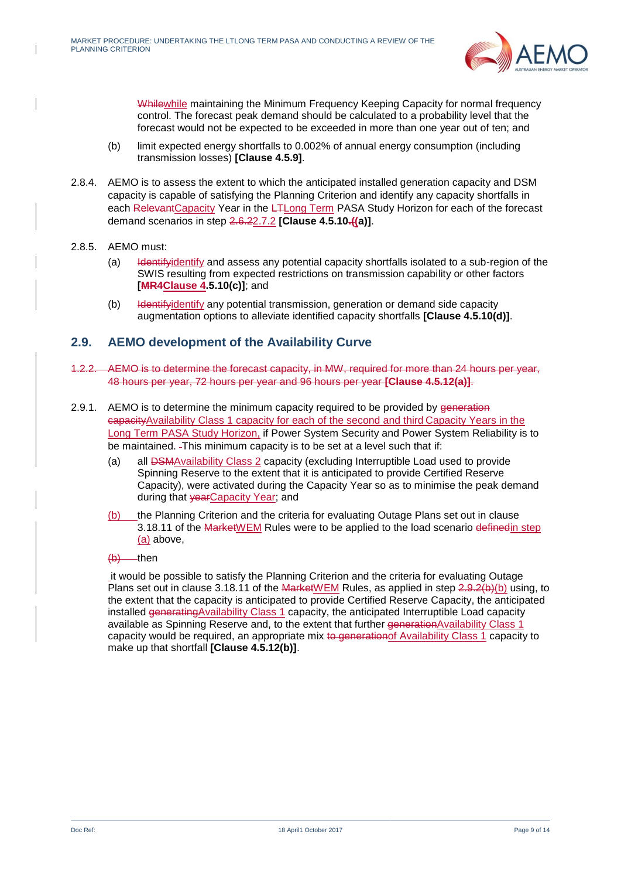

Whilewhile maintaining the Minimum Frequency Keeping Capacity for normal frequency control. The forecast peak demand should be calculated to a probability level that the forecast would not be expected to be exceeded in more than one year out of ten; and

- (b) limit expected energy shortfalls to 0.002% of annual energy consumption (including transmission losses) **[Clause 4.5.9]**.
- 2.8.4. AEMO is to assess the extent to which the anticipated installed generation capacity and DSM capacity is capable of satisfying the Planning Criterion and identify any capacity shortfalls in each RelevantCapacity Year in the L<sub>TL</sub>ong Term PASA Study Horizon for each of the forecast demand scenarios in step 2.6.[22.7.2](#page-6-3) **[Clause 4.5.10.((a)]**.
- 2.8.5. AEMO must:
	- (a) Identifyidentify and assess any potential capacity shortfalls isolated to a sub-region of the SWIS resulting from expected restrictions on transmission capability or other factors **[MR4Clause 4.5.10(c)]**; and
	- (b) Identifyidentify any potential transmission, generation or demand side capacity augmentation options to alleviate identified capacity shortfalls **[Clause 4.5.10(d)]**.

### <span id="page-8-0"></span>**2.9. AEMO development of the Availability Curve**

- <span id="page-8-3"></span>1.2.2. AEMO is to determine the forecast capacity, in MW, required for more than 24 hours per year, 48 hours per year, 72 hours per year and 96 hours per year **[Clause 4.5.12(a)]**.
- <span id="page-8-4"></span><span id="page-8-1"></span>2.9.1. AEMO is to determine the minimum capacity required to be provided by generation capacityAvailability Class 1 capacity for each of the second and third Capacity Years in the Long Term PASA Study Horizon, if Power System Security and Power System Reliability is to be maintained. This minimum capacity is to be set at a level such that if:
	- (a) all DSMAvailability Class 2 capacity (excluding Interruptible Load used to provide Spinning Reserve to the extent that it is anticipated to provide Certified Reserve Capacity), were activated during the Capacity Year so as to minimise the peak demand during that vearCapacity Year; and
	- (b) the Planning Criterion and the criteria for evaluating Outage Plans set out in clause 3.18.11 of the MarketWEM Rules were to be applied to the load scenario definedin step [\(a\)](#page-8-1) above,
	- $(b)$  then

<span id="page-8-2"></span>it would be possible to satisfy the Planning Criterion and the criteria for evaluating Outage Plans set out in clause 3.18.11 of the MarketWEM Rules, as applied in step 2.9.2(b[\)\(b\)](#page-8-2) using, to the extent that the capacity is anticipated to provide Certified Reserve Capacity, the anticipated installed generatingAvailability Class 1 capacity, the anticipated Interruptible Load capacity available as Spinning Reserve and, to the extent that further generationAvailability Class 1 capacity would be required, an appropriate mix to generation of Availability Class 1 capacity to make up that shortfall **[Clause 4.5.12(b)]**.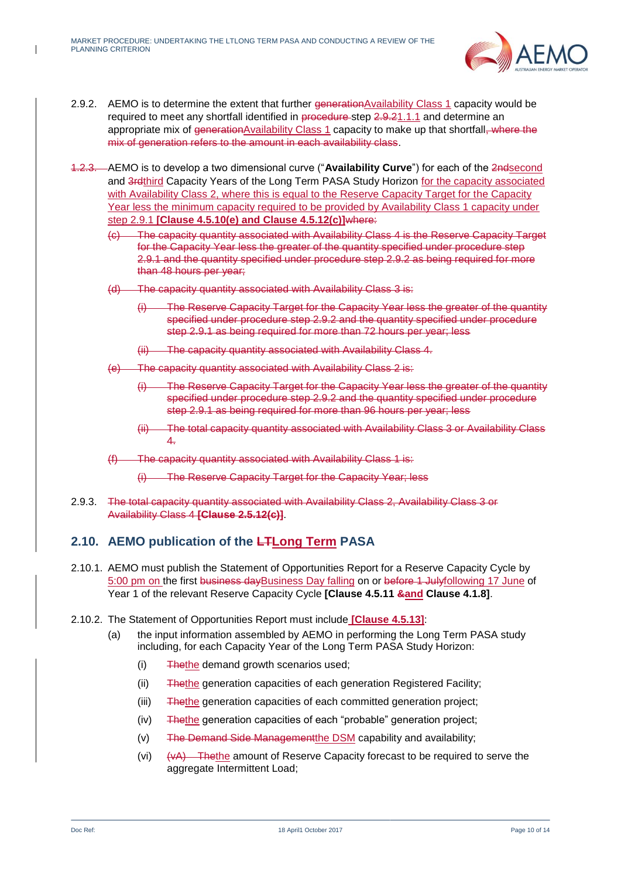

- 2.9.2. AEMO is to determine the extent that further generationAvailability Class 1 capacity would be required to meet any shortfall identified in procedure step 2.9.[21.1.1](#page-8-3) and determine an appropriate mix of generation Availability Class 1 capacity to make up that shortfall, where the mix of generation refers to the amount in each availability class.
- 1.2.3. AEMO is to develop a two dimensional curve ("**Availability Curve**") for each of the 2ndsecond and 3rdthird Capacity Years of the Long Term PASA Study Horizon for the capacity associated with Availability Class 2, where this is equal to the Reserve Capacity Target for the Capacity Year less the minimum capacity required to be provided by Availability Class 1 capacity under step [2.9.1](#page-8-4) **[Clause 4.5.10(e) and Clause 4.5.12(c)]**where:
	- (c) The capacity quantity associated with Availability Class 4 is the Reserve Capacity Target for the Capacity Year less the greater of the quantity specified under procedure step 2.9.1 and the quantity specified under procedure step 2.9.2 as being required for more than 48 hours per year;
	- (d) The capacity quantity associated with Availability Class 3 is:
		- (i) The Reserve Capacity Target for the Capacity Year less the greater of the quantity specified under procedure step 2.9.2 and the quantity specified under procedure step 2.9.1 as being required for more than 72 hours per year; less
		- (ii) The capacity quantity associated with Availability Class 4.
	- (e) The capacity quantity associated with Availability Class 2 is:
		- (i) The Reserve Capacity Target for the Capacity Year less the greater of the quantity specified under procedure step 2.9.2 and the quantity specified under procedure step 2.9.1 as being required for more than 96 hours per year; less
		- The total capacity quantity associated with Availability Class 3 or Availability Class 4.
	- (f) The capacity quantity associated with Availability Class 1 is:
		- (i) The Reserve Capacity Target for the Capacity Year; less
- 2.9.3. The total capacity quantity associated with Availability Class 2, Availability Class 3 or Availability Class 4 **[Clause 2.5.12(c)]**.

## <span id="page-9-0"></span>**2.10. AEMO publication of the LTLong Term PASA**

- 2.10.1. AEMO must publish the Statement of Opportunities Report for a Reserve Capacity Cycle by 5:00 pm on the first business dayBusiness Day falling on or before 1 Julyfollowing 17 June of Year 1 of the relevant Reserve Capacity Cycle **[Clause 4.5.11 &and Clause 4.1.8]**.
- <span id="page-9-5"></span><span id="page-9-4"></span><span id="page-9-3"></span><span id="page-9-2"></span><span id="page-9-1"></span>2.10.2. The Statement of Opportunities Report must include **[Clause 4.5.13]**:
	- (a) the input information assembled by AEMO in performing the Long Term PASA study including, for each Capacity Year of the Long Term PASA Study Horizon:
		- (i) Thethe demand growth scenarios used;
		- (ii) Thethe generation capacities of each generation Registered Facility;
		- (iii) Thethe generation capacities of each committed generation project;
		- (iv) Thethe generation capacities of each "probable" generation project;
		- (v) The Demand Side Managementthe DSM capability and availability;
		- (vi)  $(vA)$  Thethe amount of Reserve Capacity forecast to be required to serve the aggregate Intermittent Load;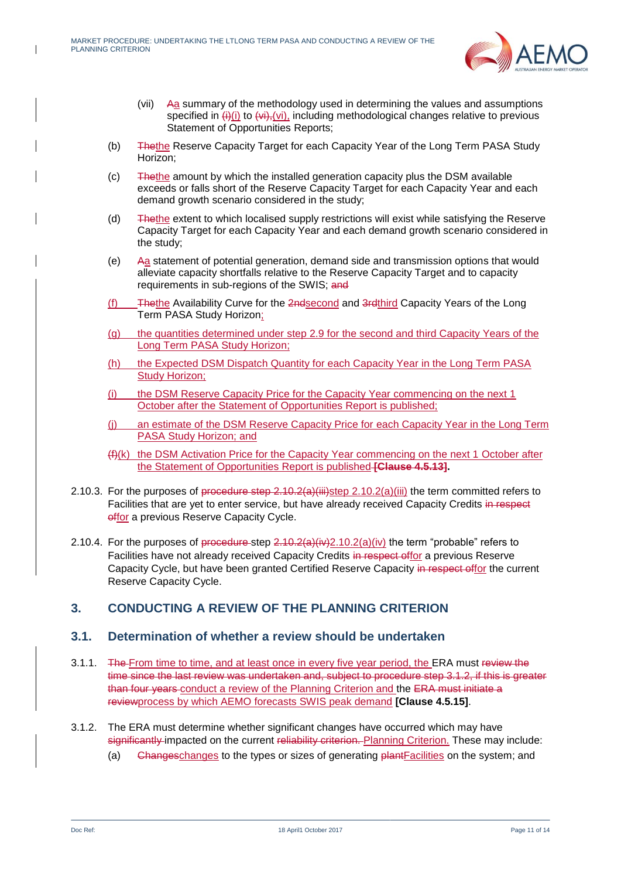

- (vii) Aa summary of the methodology used in determining the values and assumptions specified in  $\overline{(+)}$ (i) to  $\overline{(+)}$ , (vi), including methodological changes relative to previous Statement of Opportunities Reports;
- (b) Thethe Reserve Capacity Target for each Capacity Year of the Long Term PASA Study Horizon;
- (c) Thethe amount by which the installed generation capacity plus the DSM available exceeds or falls short of the Reserve Capacity Target for each Capacity Year and each demand growth scenario considered in the study;
- (d) Thethe extent to which localised supply restrictions will exist while satisfying the Reserve Capacity Target for each Capacity Year and each demand growth scenario considered in the study;
- (e) Aa statement of potential generation, demand side and transmission options that would alleviate capacity shortfalls relative to the Reserve Capacity Target and to capacity requirements in sub-regions of the SWIS; and
- (f) Thethe Availability Curve for the 2ndsecond and 3rdthird Capacity Years of the Long Term PASA Study Horizon;
- (g) the quantities determined under step [2.9](#page-8-0) for the second and third Capacity Years of the Long Term PASA Study Horizon;
- (h) the Expected DSM Dispatch Quantity for each Capacity Year in the Long Term PASA Study Horizon;
- (i) the DSM Reserve Capacity Price for the Capacity Year commencing on the next 1 October after the Statement of Opportunities Report is published;
- (j) an estimate of the DSM Reserve Capacity Price for each Capacity Year in the Long Term PASA Study Horizon; and
- (f)(k) the DSM Activation Price for the Capacity Year commencing on the next 1 October after the Statement of Opportunities Report is published **[Clause 4.5.13].**
- 2.10.3. For the purposes of procedure step  $2.10.2(a)$ (iii)step [2.10.2\(a\)](#page-9-3)[\(iii\)](#page-9-4) the term committed refers to Facilities that are yet to enter service, but have already received Capacity Credits in respect offor a previous Reserve Capacity Cycle.
- 2.10.4. For the purposes of procedure step  $2.10.2(a)(iv)2.10.2(a)(iv)$  $2.10.2(a)(iv)2.10.2(a)(iv)$  $2.10.2(a)(iv)2.10.2(a)(iv)$  the term "probable" refers to Facilities have not already received Capacity Credits in respect offor a previous Reserve Capacity Cycle, but have been granted Certified Reserve Capacity in respect offor the current Reserve Capacity Cycle.

## <span id="page-10-0"></span>**3. CONDUCTING A REVIEW OF THE PLANNING CRITERION**

#### <span id="page-10-1"></span>**3.1. Determination of whether a review should be undertaken**

- 3.1.1. The From time to time, and at least once in every five year period, the ERA must review the time since the last review was undertaken and, subject to procedure step 3.1.2, if this is greater than four years conduct a review of the Planning Criterion and the ERA must initiate a reviewprocess by which AEMO forecasts SWIS peak demand **[Clause 4.5.15]**.
- 3.1.2. The ERA must determine whether significant changes have occurred which may have significantly impacted on the current reliability criterion. Planning Criterion. These may include:
	- (a) Changeschanges to the types or sizes of generating plantFacilities on the system; and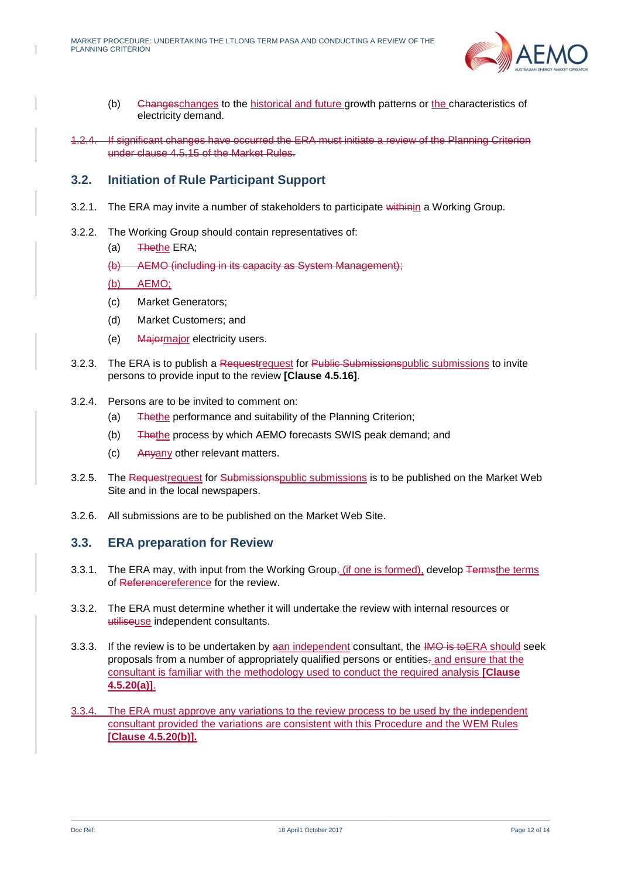

- (b) Changeschanges to the historical and future growth patterns or the characteristics of electricity demand.
- 1.2.4. If significant changes have occurred the ERA must initiate a review of the Planning Criterion under clause 4.5.15 of the Market Rules.

#### <span id="page-11-0"></span>**3.2. Initiation of Rule Participant Support**

- 3.2.1. The ERA may invite a number of stakeholders to participate withinin a Working Group.
- 3.2.2. The Working Group should contain representatives of:
	- (a) Thethe ERA;
	- (b) AEMO (including in its capacity as System Management);
	- (b) AEMO;
	- (c) Market Generators;
	- (d) Market Customers; and
	- (e) Majormajor electricity users.
- 3.2.3. The ERA is to publish a Requestrequest for Public Submissionspublic submissions to invite persons to provide input to the review **[Clause 4.5.16]**.
- 3.2.4. Persons are to be invited to comment on:
	- (a) Thethe performance and suitability of the Planning Criterion;
	- (b) Thethe process by which AEMO forecasts SWIS peak demand; and
	- (c) Anyany other relevant matters.
- 3.2.5. The Requestrequest for Submissionspublic submissions is to be published on the Market Web Site and in the local newspapers.
- 3.2.6. All submissions are to be published on the Market Web Site.

#### <span id="page-11-1"></span>**3.3. ERA preparation for Review**

- 3.3.1. The ERA may, with input from the Working Group<sub>7</sub> (if one is formed), develop <del>Termsthe terms</del> of Referencereference for the review.
- 3.3.2. The ERA must determine whether it will undertake the review with internal resources or utiliseuse independent consultants.
- 3.3.3. If the review is to be undertaken by aan independent consultant, the IMO is to ERA should seek proposals from a number of appropriately qualified persons or entities. and ensure that the consultant is familiar with the methodology used to conduct the required analysis **[Clause 4.5.20(a)]**.
- 3.3.4. The ERA must approve any variations to the review process to be used by the independent consultant provided the variations are consistent with this Procedure and the WEM Rules **[Clause 4.5.20(b)].**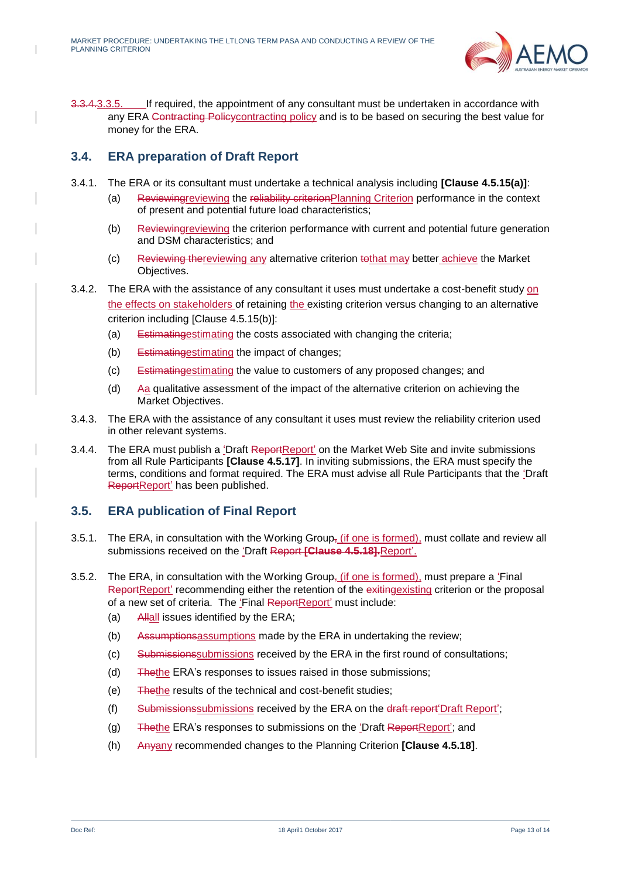

3.3.4.3.3.5. If required, the appointment of any consultant must be undertaken in accordance with any ERA Contracting Policycontracting policy and is to be based on securing the best value for money for the ERA.

## <span id="page-12-0"></span>**3.4. ERA preparation of Draft Report**

- 3.4.1. The ERA or its consultant must undertake a technical analysis including **[Clause 4.5.15(a)]**:
	- (a) Reviewingreviewing the reliability criterionPlanning Criterion performance in the context of present and potential future load characteristics;
	- (b) Reviewingreviewing the criterion performance with current and potential future generation and DSM characteristics; and
	- (c) Reviewing thereviewing any alternative criterion tothat may better achieve the Market Objectives.
- 3.4.2. The ERA with the assistance of any consultant it uses must undertake a cost-benefit study on the effects on stakeholders of retaining the existing criterion versus changing to an alternative criterion including [Clause 4.5.15(b)]:
	- (a) Estimatingestimating the costs associated with changing the criteria;
	- (b) Estimatingestimating the impact of changes;
	- (c) Estimatingestimating the value to customers of any proposed changes; and
	- (d) Aa qualitative assessment of the impact of the alternative criterion on achieving the Market Objectives.
- 3.4.3. The ERA with the assistance of any consultant it uses must review the reliability criterion used in other relevant systems.
- 3.4.4. The ERA must publish a 'Draft ReportReport' on the Market Web Site and invite submissions from all Rule Participants **[Clause 4.5.17]**. In inviting submissions, the ERA must specify the terms, conditions and format required. The ERA must advise all Rule Participants that the 'Draft ReportReport' has been published.

## <span id="page-12-1"></span>**3.5. ERA publication of Final Report**

- 3.5.1. The ERA, in consultation with the Working Group<sub>7</sub> (if one is formed), must collate and review all submissions received on the 'Draft Report **[Clause 4.5.18].**Report'.
- 3.5.2. The ERA, in consultation with the Working Group<sub> $\bar{y}$ </sub> (if one is formed), must prepare a 'Final ReportReport' recommending either the retention of the exitingexisting criterion or the proposal of a new set of criteria. The 'Final ReportReport' must include:
	- (a) Allall issues identified by the ERA;
	- (b) Assumption assumptions made by the ERA in undertaking the review;
	- (c) Submissionssubmissions received by the ERA in the first round of consultations;
	- (d) Thethe ERA's responses to issues raised in those submissions;
	- (e) Thethe results of the technical and cost-benefit studies;
	- (f) Submissionssubmissions received by the ERA on the draft report'Draft Report';
	- (g) Thethe ERA's responses to submissions on the 'Draft ReportReport'; and
	- (h) Anyany recommended changes to the Planning Criterion **[Clause 4.5.18]**.